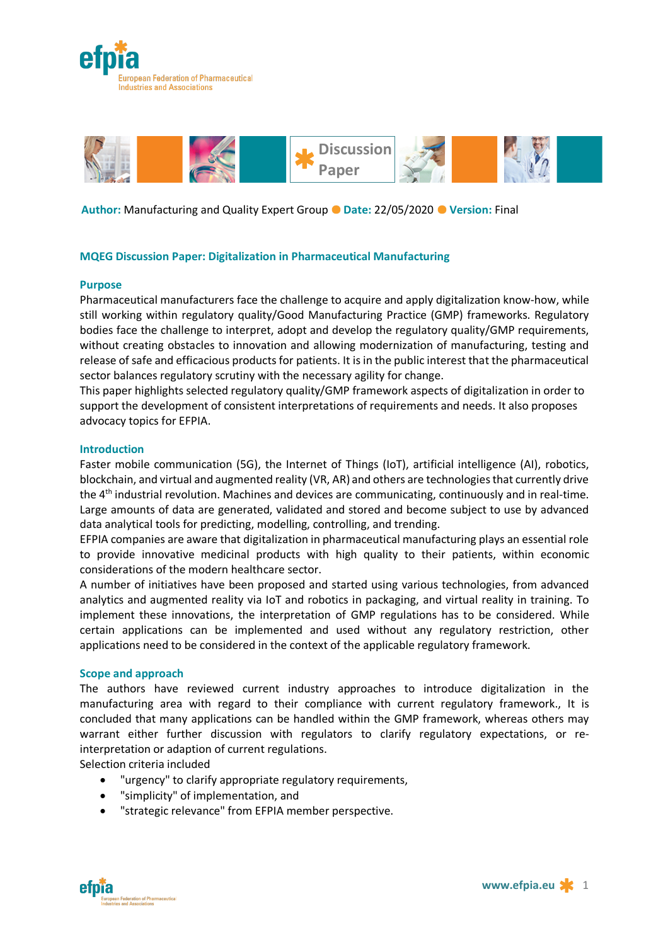



**Author:** Manufacturing and Quality Expert Group **Date:** 22/05/2020 **Version:** Final

# **MQEG Discussion Paper: Digitalization in Pharmaceutical Manufacturing**

#### **Purpose**

Pharmaceutical manufacturers face the challenge to acquire and apply digitalization know-how, while still working within regulatory quality/Good Manufacturing Practice (GMP) frameworks. Regulatory bodies face the challenge to interpret, adopt and develop the regulatory quality/GMP requirements, without creating obstacles to innovation and allowing modernization of manufacturing, testing and release of safe and efficacious products for patients. It is in the public interest that the pharmaceutical sector balances regulatory scrutiny with the necessary agility for change.

This paper highlights selected regulatory quality/GMP framework aspects of digitalization in order to support the development of consistent interpretations of requirements and needs. It also proposes advocacy topics for EFPIA.

#### **Introduction**

Faster mobile communication (5G), the Internet of Things (IoT), artificial intelligence (AI), robotics, blockchain, and virtual and augmented reality (VR, AR) and others are technologies that currently drive the 4<sup>th</sup> industrial revolution. Machines and devices are communicating, continuously and in real-time. Large amounts of data are generated, validated and stored and become subject to use by advanced data analytical tools for predicting, modelling, controlling, and trending.

EFPIA companies are aware that digitalization in pharmaceutical manufacturing plays an essential role to provide innovative medicinal products with high quality to their patients, within economic considerations of the modern healthcare sector.

A number of initiatives have been proposed and started using various technologies, from advanced analytics and augmented reality via IoT and robotics in packaging, and virtual reality in training. To implement these innovations, the interpretation of GMP regulations has to be considered. While certain applications can be implemented and used without any regulatory restriction, other applications need to be considered in the context of the applicable regulatory framework.

#### **Scope and approach**

The authors have reviewed current industry approaches to introduce digitalization in the manufacturing area with regard to their compliance with current regulatory framework., It is concluded that many applications can be handled within the GMP framework, whereas others may warrant either further discussion with regulators to clarify regulatory expectations, or reinterpretation or adaption of current regulations.

Selection criteria included

- "urgency" to clarify appropriate regulatory requirements,
- "simplicity" of implementation, and
- "strategic relevance" from EFPIA member perspective.

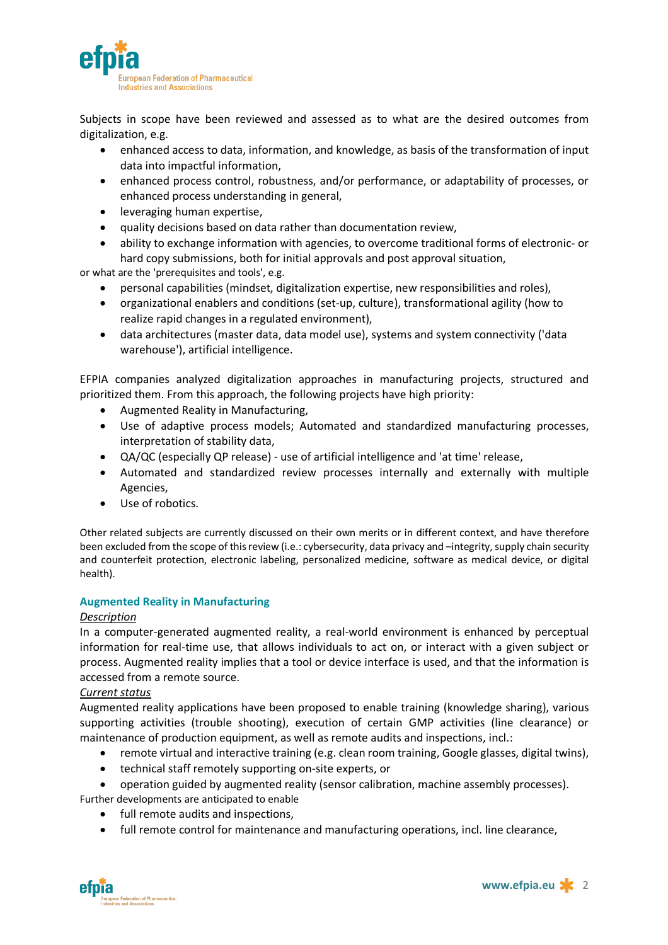

Subjects in scope have been reviewed and assessed as to what are the desired outcomes from digitalization, e.g.

- enhanced access to data, information, and knowledge, as basis of the transformation of input data into impactful information,
- enhanced process control, robustness, and/or performance, or adaptability of processes, or enhanced process understanding in general,
- leveraging human expertise,
- quality decisions based on data rather than documentation review,
- ability to exchange information with agencies, to overcome traditional forms of electronic- or hard copy submissions, both for initial approvals and post approval situation,

or what are the 'prerequisites and tools', e.g.

- personal capabilities (mindset, digitalization expertise, new responsibilities and roles),
- organizational enablers and conditions (set-up, culture), transformational agility (how to realize rapid changes in a regulated environment),
- data architectures (master data, data model use), systems and system connectivity ('data warehouse'), artificial intelligence.

EFPIA companies analyzed digitalization approaches in manufacturing projects, structured and prioritized them. From this approach, the following projects have high priority:

- Augmented Reality in Manufacturing,
- Use of adaptive process models; Automated and standardized manufacturing processes, interpretation of stability data,
- QA/QC (especially QP release) use of artificial intelligence and 'at time' release,
- Automated and standardized review processes internally and externally with multiple Agencies,
- Use of robotics.

Other related subjects are currently discussed on their own merits or in different context, and have therefore been excluded from the scope of this review (i.e.: cybersecurity, data privacy and –integrity, supply chain security and counterfeit protection, electronic labeling, personalized medicine, software as medical device, or digital health).

# **Augmented Reality in Manufacturing**

# *Description*

In a computer-generated augmented reality, a real-world environment is enhanced by perceptual information for real-time use, that allows individuals to act on, or interact with a given subject or process. Augmented reality implies that a tool or device interface is used, and that the information is accessed from a remote source.

# *Current status*

Augmented reality applications have been proposed to enable training (knowledge sharing), various supporting activities (trouble shooting), execution of certain GMP activities (line clearance) or maintenance of production equipment, as well as remote audits and inspections, incl.:

- remote virtual and interactive training (e.g. clean room training, Google glasses, digital twins),
- technical staff remotely supporting on-site experts, or

• operation guided by augmented reality (sensor calibration, machine assembly processes).

Further developments are anticipated to enable

- full remote audits and inspections,
- full remote control for maintenance and manufacturing operations, incl. line clearance,

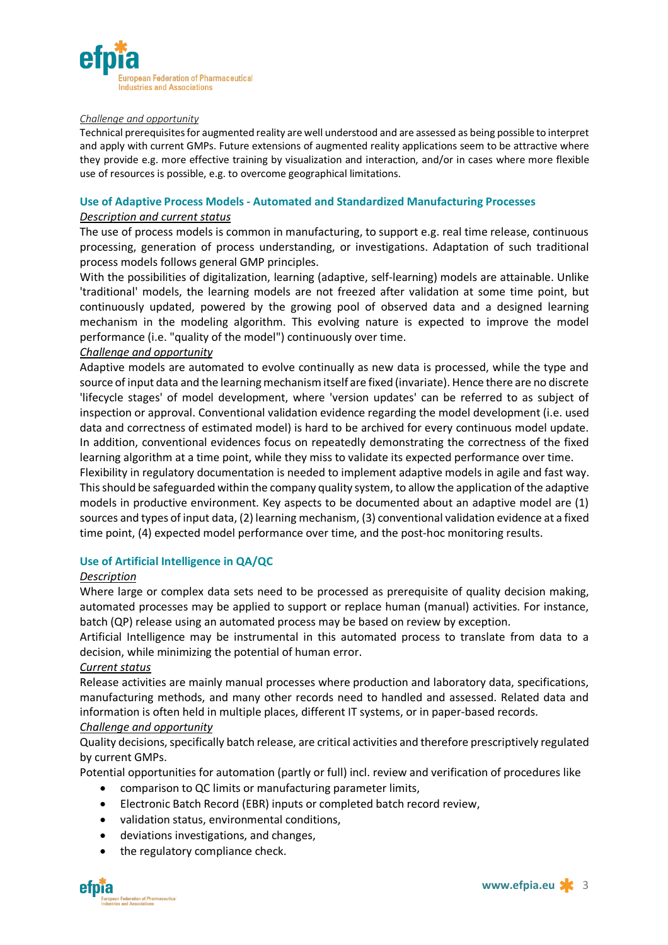

#### *Challenge and opportunity*

Technical prerequisites for augmented reality are well understood and are assessed as being possible to interpret and apply with current GMPs. Future extensions of augmented reality applications seem to be attractive where they provide e.g. more effective training by visualization and interaction, and/or in cases where more flexible use of resources is possible, e.g. to overcome geographical limitations.

#### **Use of Adaptive Process Models - Automated and Standardized Manufacturing Processes**

#### *Description and current status*

The use of process models is common in manufacturing, to support e.g. real time release, continuous processing, generation of process understanding, or investigations. Adaptation of such traditional process models follows general GMP principles.

With the possibilities of digitalization, learning (adaptive, self-learning) models are attainable. Unlike 'traditional' models, the learning models are not freezed after validation at some time point, but continuously updated, powered by the growing pool of observed data and a designed learning mechanism in the modeling algorithm. This evolving nature is expected to improve the model performance (i.e. "quality of the model") continuously over time.

#### *Challenge and opportunity*

Adaptive models are automated to evolve continually as new data is processed, while the type and source of input data and the learning mechanism itself are fixed (invariate). Hence there are no discrete 'lifecycle stages' of model development, where 'version updates' can be referred to as subject of inspection or approval. Conventional validation evidence regarding the model development (i.e. used data and correctness of estimated model) is hard to be archived for every continuous model update. In addition, conventional evidences focus on repeatedly demonstrating the correctness of the fixed learning algorithm at a time point, while they miss to validate its expected performance over time.

Flexibility in regulatory documentation is needed to implement adaptive models in agile and fast way. This should be safeguarded within the company quality system, to allow the application of the adaptive models in productive environment. Key aspects to be documented about an adaptive model are (1) sources and types of input data, (2) learning mechanism, (3) conventional validation evidence at a fixed time point, (4) expected model performance over time, and the post-hoc monitoring results.

# **Use of Artificial Intelligence in QA/QC**

# *Description*

Where large or complex data sets need to be processed as prerequisite of quality decision making, automated processes may be applied to support or replace human (manual) activities. For instance, batch (QP) release using an automated process may be based on review by exception.

Artificial Intelligence may be instrumental in this automated process to translate from data to a decision, while minimizing the potential of human error.

# *Current status*

Release activities are mainly manual processes where production and laboratory data, specifications, manufacturing methods, and many other records need to handled and assessed. Related data and information is often held in multiple places, different IT systems, or in paper-based records. *Challenge and opportunity*

# Quality decisions, specifically batch release, are critical activities and therefore prescriptively regulated by current GMPs.

Potential opportunities for automation (partly or full) incl. review and verification of procedures like

- comparison to QC limits or manufacturing parameter limits,
- Electronic Batch Record (EBR) inputs or completed batch record review,
- validation status, environmental conditions,
- deviations investigations, and changes,
- the regulatory compliance check.

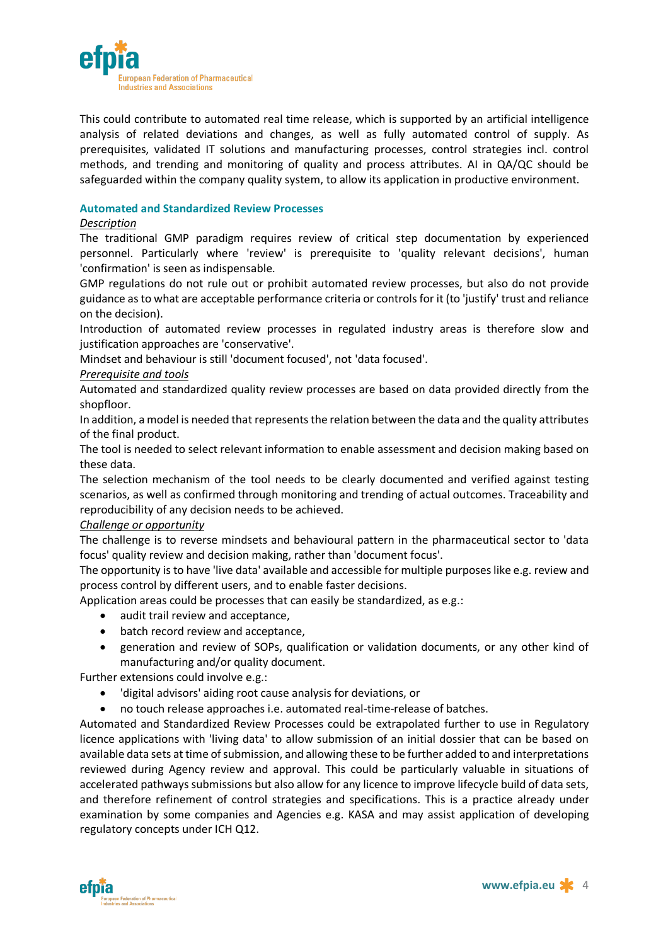

This could contribute to automated real time release, which is supported by an artificial intelligence analysis of related deviations and changes, as well as fully automated control of supply. As prerequisites, validated IT solutions and manufacturing processes, control strategies incl. control methods, and trending and monitoring of quality and process attributes. AI in QA/QC should be safeguarded within the company quality system, to allow its application in productive environment.

# **Automated and Standardized Review Processes**

# *Description*

The traditional GMP paradigm requires review of critical step documentation by experienced personnel. Particularly where 'review' is prerequisite to 'quality relevant decisions', human 'confirmation' is seen as indispensable.

GMP regulations do not rule out or prohibit automated review processes, but also do not provide guidance as to what are acceptable performance criteria or controls for it (to 'justify' trust and reliance on the decision).

Introduction of automated review processes in regulated industry areas is therefore slow and justification approaches are 'conservative'.

Mindset and behaviour is still 'document focused', not 'data focused'.

# *Prerequisite and tools*

Automated and standardized quality review processes are based on data provided directly from the shopfloor.

In addition, a model is needed that represents the relation between the data and the quality attributes of the final product.

The tool is needed to select relevant information to enable assessment and decision making based on these data.

The selection mechanism of the tool needs to be clearly documented and verified against testing scenarios, as well as confirmed through monitoring and trending of actual outcomes. Traceability and reproducibility of any decision needs to be achieved.

# *Challenge or opportunity*

The challenge is to reverse mindsets and behavioural pattern in the pharmaceutical sector to 'data focus' quality review and decision making, rather than 'document focus'.

The opportunity is to have 'live data' available and accessible for multiple purposes like e.g. review and process control by different users, and to enable faster decisions.

Application areas could be processes that can easily be standardized, as e.g.:

- audit trail review and acceptance,
- batch record review and acceptance,
- generation and review of SOPs, qualification or validation documents, or any other kind of manufacturing and/or quality document.

Further extensions could involve e.g.:

- 'digital advisors' aiding root cause analysis for deviations, or
- no touch release approaches i.e. automated real-time-release of batches.

Automated and Standardized Review Processes could be extrapolated further to use in Regulatory licence applications with 'living data' to allow submission of an initial dossier that can be based on available data sets at time of submission, and allowing these to be further added to and interpretations reviewed during Agency review and approval. This could be particularly valuable in situations of accelerated pathways submissions but also allow for any licence to improve lifecycle build of data sets, and therefore refinement of control strategies and specifications. This is a practice already under examination by some companies and Agencies e.g. KASA and may assist application of developing regulatory concepts under ICH Q12.